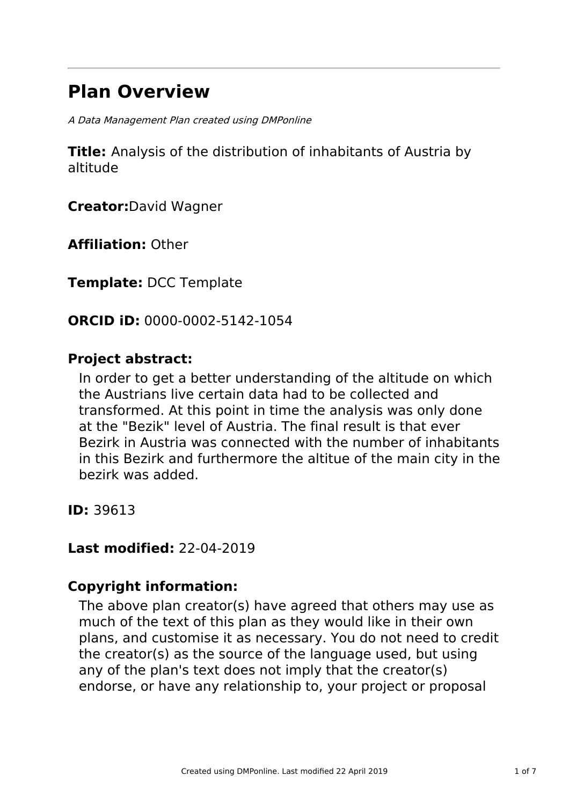# **Plan Overview**

A Data Management Plan created using DMPonline

**Title:** Analysis of the distribution of inhabitants of Austria by altitude

**Creator:**David Wagner

**Affiliation:** Other

**Template:** DCC Template

**ORCID iD:** 0000-0002-5142-1054

## **Project abstract:**

In order to get a better understanding of the altitude on which the Austrians live certain data had to be collected and transformed. At this point in time the analysis was only done at the "Bezik" level of Austria. The final result is that ever Bezirk in Austria was connected with the number of inhabitants in this Bezirk and furthermore the altitue of the main city in the bezirk was added.

**ID:** 39613

## **Last modified:** 22-04-2019

# **Copyright information:**

The above plan creator(s) have agreed that others may use as much of the text of this plan as they would like in their own plans, and customise it as necessary. You do not need to credit the creator(s) as the source of the language used, but using any of the plan's text does not imply that the creator(s) endorse, or have any relationship to, your project or proposal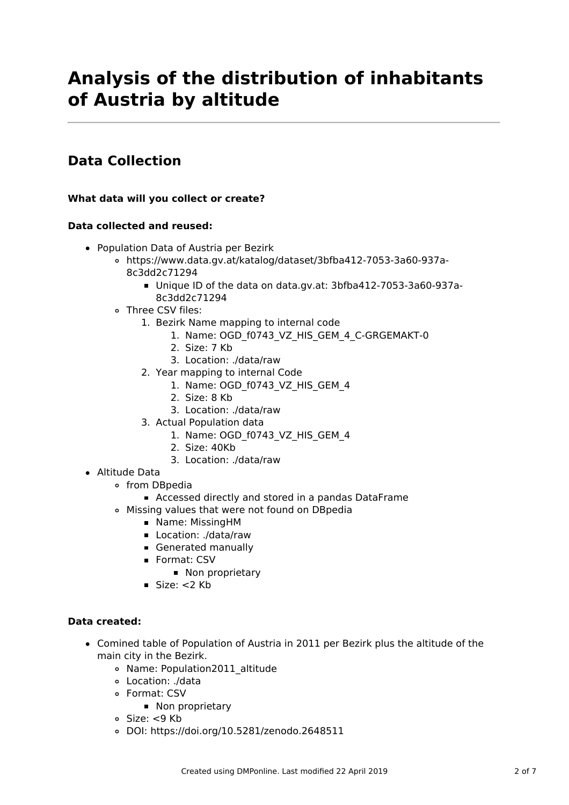# **Analysis of the distribution of inhabitants of Austria by altitude**

# **Data Collection**

#### **What data will you collect or create?**

#### **Data collected and reused:**

- Population Data of Austria per Bezirk
	- https://www.data.gv.at/katalog/dataset/3bfba412-7053-3a60-937a-8c3dd2c71294
		- Unique ID of the data on data.gv.at: 3bfba412-7053-3a60-937a-8c3dd2c71294
	- Three CSV files:
		- 1. Bezirk Name mapping to internal code
			- 1. Name: OGD f0743 VZ HIS GEM 4 C-GRGEMAKT-0
			- 2. Size: 7 Kb
			- 3. Location: ./data/raw
		- 2. Year mapping to internal Code
			- 1. Name: OGD f0743 VZ HIS GEM 4
			- 2. Size: 8 Kb
			- 3. Location: ./data/raw
		- 3. Actual Population data
			- 1. Name: OGD f0743 VZ HIS GEM 4
			- 2. Size: 40Kb
			- 3. Location: ./data/raw
- Altitude Data
	- from DBpedia
		- Accessed directly and stored in a pandas DataFrame
	- Missing values that were not found on DBpedia
		- Name: MissingHM
		- **Location: ./data/raw**
		- Generated manually
		- Format: CSV
			- Non proprietary
		- $Size: < 2$  Kb

#### **Data created:**

- Comined table of Population of Austria in 2011 per Bezirk plus the altitude of the main city in the Bezirk.
	- Name: Population2011\_altitude
	- Location: ./data
	- Format: CSV
		- Non proprietary
	- Size: <9 Kb
	- DOI: https://doi.org/10.5281/zenodo.2648511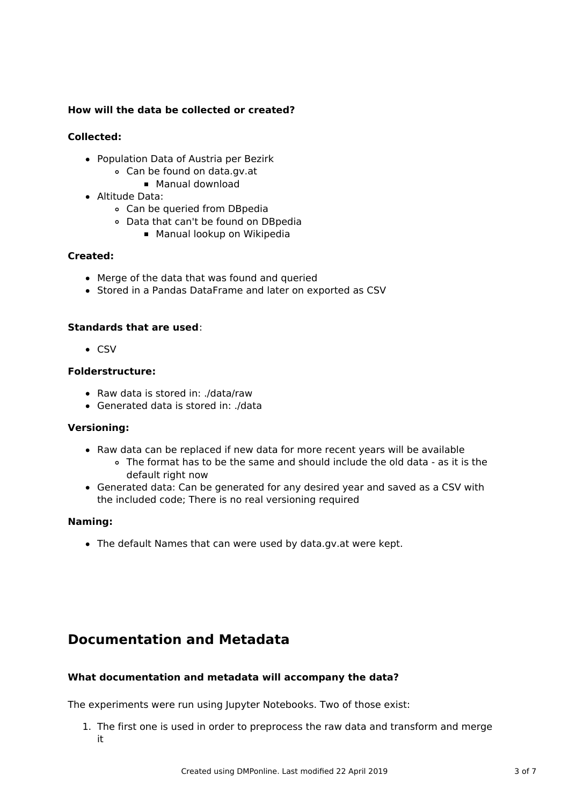#### **How will the data be collected or created?**

#### **Collected:**

- Population Data of Austria per Bezirk
	- Can be found on data.gv.at
		- Manual download
- Altitude Data:
	- Can be queried from DBpedia
	- Data that can't be found on DBpedia
		- **Manual lookup on Wikipedia**

#### **Created:**

- Merge of the data that was found and queried
- Stored in a Pandas DataFrame and later on exported as CSV

#### **Standards that are used**:

• CSV

#### **Folderstructure:**

- Raw data is stored in: ./data/raw
- Generated data is stored in: ./data

#### **Versioning:**

- Raw data can be replaced if new data for more recent years will be available
	- The format has to be the same and should include the old data as it is the default right now
- Generated data: Can be generated for any desired year and saved as a CSV with the included code; There is no real versioning required

#### **Naming:**

The default Names that can were used by data.gv.at were kept.

## **Documentation and Metadata**

#### **What documentation and metadata will accompany the data?**

The experiments were run using Jupyter Notebooks. Two of those exist:

1. The first one is used in order to preprocess the raw data and transform and merge it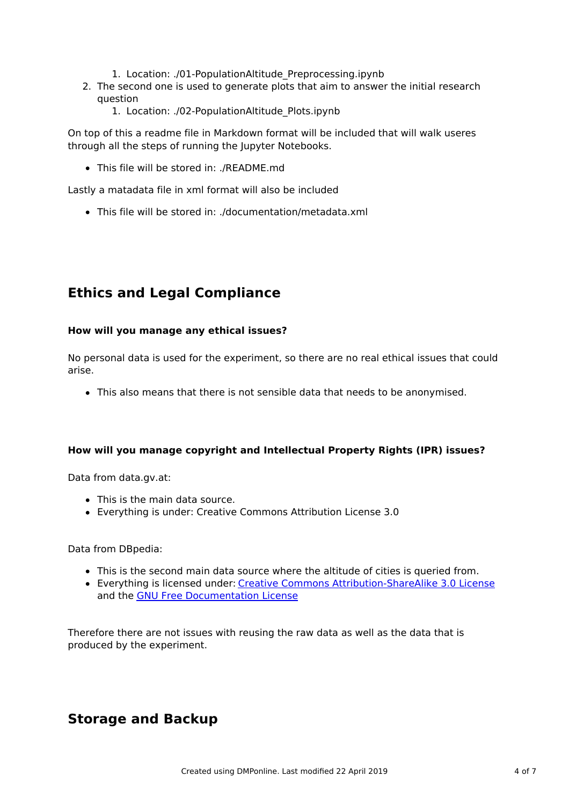- 1. Location: ./01-PopulationAltitude\_Preprocessing.ipynb
- 2. The second one is used to generate plots that aim to answer the initial research question
	- 1. Location: ./02-PopulationAltitude\_Plots.ipynb

On top of this a readme file in Markdown format will be included that will walk useres through all the steps of running the Jupyter Notebooks.

This file will be stored in: ./README.md

Lastly a matadata file in xml format will also be included

This file will be stored in: ./documentation/metadata.xml

# **Ethics and Legal Compliance**

#### **How will you manage any ethical issues?**

No personal data is used for the experiment, so there are no real ethical issues that could arise.

This also means that there is not sensible data that needs to be anonymised.

#### **How will you manage copyright and Intellectual Property Rights (IPR) issues?**

Data from data.gv.at:

- This is the main data source.
- Everything is under: Creative Commons Attribution License 3.0

Data from DBpedia:

- This is the second main data source where the altitude of cities is queried from.
- Everything is licensed under: Creative Commons [Attribution-ShareAlike](http://en.wikipedia.org/wiki/Wikipedia:Text_of_Creative_Commons_Attribution-ShareAlike_3.0_Unported_License) 3.0 License and the GNU Free [Documentation](http://en.wikipedia.org/wiki/Wikipedia:Text_of_the_GNU_Free_Documentation_License) License

Therefore there are not issues with reusing the raw data as well as the data that is produced by the experiment.

## **Storage and Backup**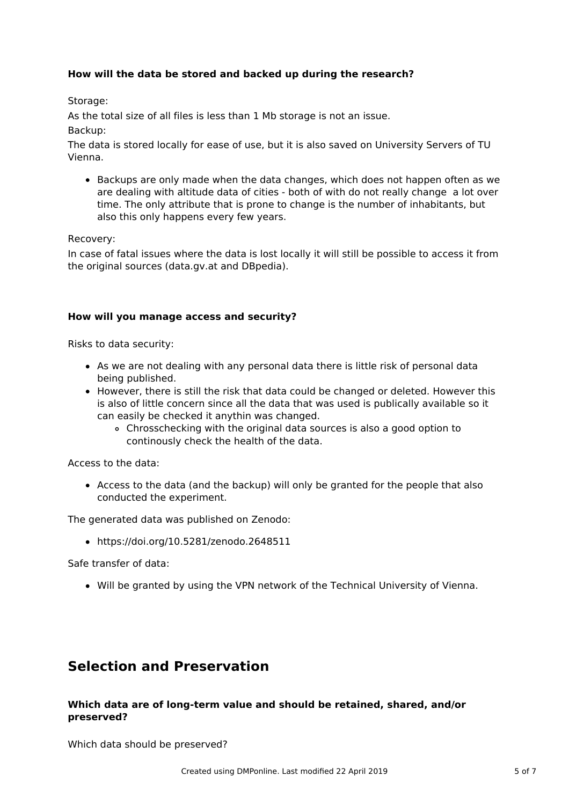#### **How will the data be stored and backed up during the research?**

#### Storage:

As the total size of all files is less than 1 Mb storage is not an issue.

Backup:

The data is stored locally for ease of use, but it is also saved on University Servers of TU Vienna.

• Backups are only made when the data changes, which does not happen often as we are dealing with altitude data of cities - both of with do not really change a lot over time. The only attribute that is prone to change is the number of inhabitants, but also this only happens every few years.

#### Recovery:

In case of fatal issues where the data is lost locally it will still be possible to access it from the original sources (data.gv.at and DBpedia).

#### **How will you manage access and security?**

Risks to data security:

- As we are not dealing with any personal data there is little risk of personal data being published.
- However, there is still the risk that data could be changed or deleted. However this is also of little concern since all the data that was used is publically available so it can easily be checked it anythin was changed.
	- Chrosschecking with the original data sources is also a good option to continously check the health of the data.

Access to the data:

Access to the data (and the backup) will only be granted for the people that also conducted the experiment.

The generated data was published on Zenodo:

https://doi.org/10.5281/zenodo.2648511

Safe transfer of data:

Will be granted by using the VPN network of the Technical University of Vienna.

## **Selection and Preservation**

#### **Which data are of long-term value and should be retained, shared, and/or preserved?**

Which data should be preserved?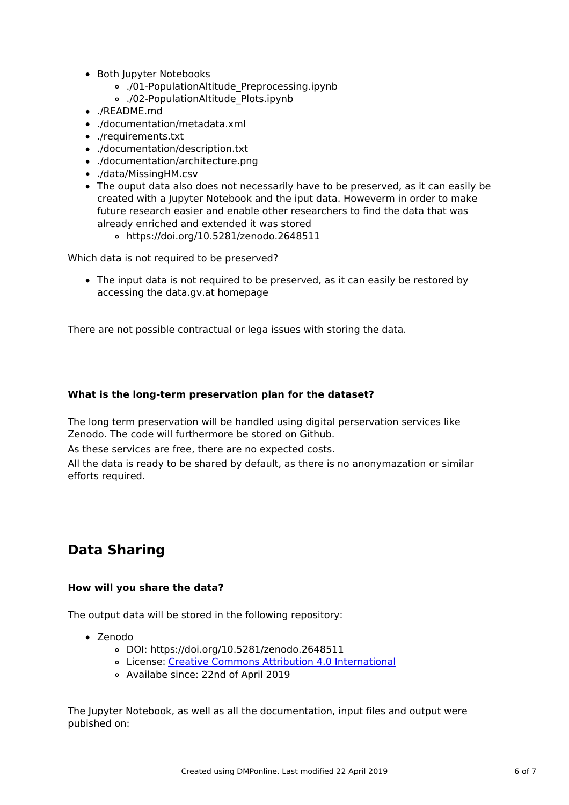- Both Jupyter Notebooks
	- ./01-PopulationAltitude\_Preprocessing.ipynb
	- ./02-PopulationAltitude\_Plots.ipynb
- ./README.md
- ./documentation/metadata.xml
- ./requirements.txt
- ./documentation/description.txt
- ./documentation/architecture.png
- ./data/MissingHM.csv
- The ouput data also does not necessarily have to be preserved, as it can easily be created with a Jupyter Notebook and the iput data. Howeverm in order to make future research easier and enable other researchers to find the data that was already enriched and extended it was stored
	- https://doi.org/10.5281/zenodo.2648511

Which data is not required to be preserved?

• The input data is not required to be preserved, as it can easily be restored by accessing the data.gv.at homepage

There are not possible contractual or lega issues with storing the data.

#### **What is the long-term preservation plan for the dataset?**

The long term preservation will be handled using digital perservation services like Zenodo. The code will furthermore be stored on Github.

As these services are free, there are no expected costs.

All the data is ready to be shared by default, as there is no anonymazation or similar efforts required.

## **Data Sharing**

#### **How will you share the data?**

The output data will be stored in the following repository:

- Zenodo
	- DOI: https://doi.org/10.5281/zenodo.2648511
	- License: Creative Commons Attribution 4.0 [International](http://creativecommons.org/licenses/by/4.0/legalcode)
	- Availabe since: 22nd of April 2019

The Jupyter Notebook, as well as all the documentation, input files and output were pubished on: